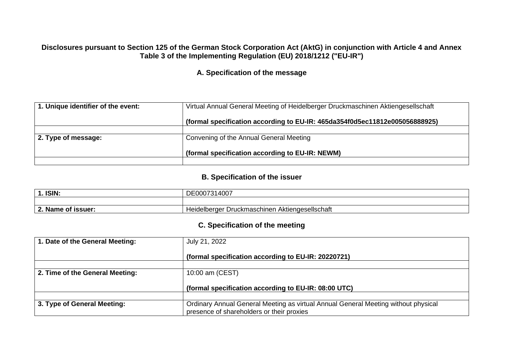#### **Disclosures pursuant to Section 125 of the German Stock Corporation Act (AktG) in conjunction with Article 4 and Annex Table 3 of the Implementing Regulation (EU) 2018/1212 ("EU-IR")**

**A. Specification of the message**

| 1. Unique identifier of the event: | Virtual Annual General Meeting of Heidelberger Druckmaschinen Aktiengesellschaft |
|------------------------------------|----------------------------------------------------------------------------------|
|                                    | (formal specification according to EU-IR: 465da354f0d5ec11812e005056888925)      |
|                                    |                                                                                  |
| 2. Type of message:                | Convening of the Annual General Meeting                                          |
|                                    |                                                                                  |
|                                    | (formal specification according to EU-IR: NEWM)                                  |
|                                    |                                                                                  |

#### **B. Specification of the issuer**

| 1. ISIN:                                 | 1007<br>→^ ィ<br>DE000731<br>21 H<br>טשיד                               |
|------------------------------------------|------------------------------------------------------------------------|
|                                          |                                                                        |
| $\lambda$ . Name of $\lambda$<br>issuer: | <i>I</i> Aktiengesellschaft<br>Druckmaschinen A<br><b>Reidelberger</b> |

#### **C. Specification of the meeting**

| 1. Date of the General Meeting: | July 21, 2022                                                                      |
|---------------------------------|------------------------------------------------------------------------------------|
|                                 | (formal specification according to EU-IR: 20220721)                                |
|                                 |                                                                                    |
| 2. Time of the General Meeting: | 10:00 am (CEST)                                                                    |
|                                 |                                                                                    |
|                                 | (formal specification according to EU-IR: 08:00 UTC)                               |
|                                 |                                                                                    |
| 3. Type of General Meeting:     | Ordinary Annual General Meeting as virtual Annual General Meeting without physical |
|                                 | presence of shareholders or their proxies                                          |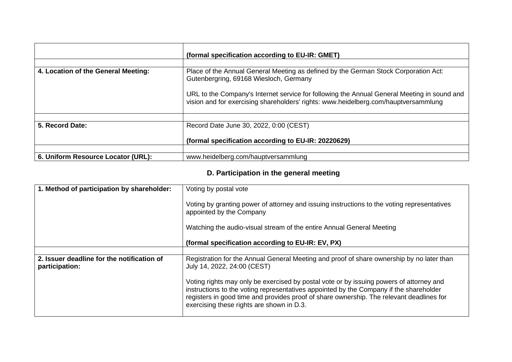|                                     | (formal specification according to EU-IR: GMET)                                                                                                                                    |
|-------------------------------------|------------------------------------------------------------------------------------------------------------------------------------------------------------------------------------|
|                                     |                                                                                                                                                                                    |
| 4. Location of the General Meeting: | Place of the Annual General Meeting as defined by the German Stock Corporation Act:<br>Gutenbergring, 69168 Wiesloch, Germany                                                      |
|                                     | URL to the Company's Internet service for following the Annual General Meeting in sound and<br>vision and for exercising shareholders' rights: www.heidelberg.com/hauptversammlung |
|                                     |                                                                                                                                                                                    |
| 5. Record Date:                     | Record Date June 30, 2022, 0:00 (CEST)                                                                                                                                             |
|                                     | (formal specification according to EU-IR: 20220629)                                                                                                                                |
|                                     |                                                                                                                                                                                    |
| 6. Uniform Resource Locator (URL):  | www.heidelberg.com/hauptversammlung                                                                                                                                                |

# **D. Participation in the general meeting**

| 1. Method of participation by shareholder:                   | Voting by postal vote                                                                                                                                                                                                                                                                                                      |
|--------------------------------------------------------------|----------------------------------------------------------------------------------------------------------------------------------------------------------------------------------------------------------------------------------------------------------------------------------------------------------------------------|
|                                                              | Voting by granting power of attorney and issuing instructions to the voting representatives<br>appointed by the Company                                                                                                                                                                                                    |
|                                                              | Watching the audio-visual stream of the entire Annual General Meeting                                                                                                                                                                                                                                                      |
|                                                              | (formal specification according to EU-IR: EV, PX)                                                                                                                                                                                                                                                                          |
|                                                              |                                                                                                                                                                                                                                                                                                                            |
| 2. Issuer deadline for the notification of<br>participation: | Registration for the Annual General Meeting and proof of share ownership by no later than<br>July 14, 2022, 24:00 (CEST)                                                                                                                                                                                                   |
|                                                              | Voting rights may only be exercised by postal vote or by issuing powers of attorney and<br>instructions to the voting representatives appointed by the Company if the shareholder<br>registers in good time and provides proof of share ownership. The relevant deadlines for<br>exercising these rights are shown in D.3. |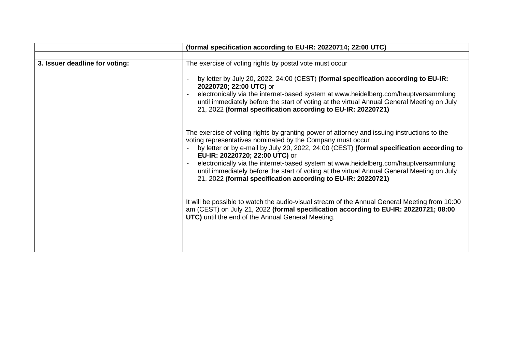|                                | (formal specification according to EU-IR: 20220714; 22:00 UTC)                                                                                                                                                                                                                                                                                                                                                                                                                                                                                                                                                                                |
|--------------------------------|-----------------------------------------------------------------------------------------------------------------------------------------------------------------------------------------------------------------------------------------------------------------------------------------------------------------------------------------------------------------------------------------------------------------------------------------------------------------------------------------------------------------------------------------------------------------------------------------------------------------------------------------------|
|                                |                                                                                                                                                                                                                                                                                                                                                                                                                                                                                                                                                                                                                                               |
| 3. Issuer deadline for voting: | The exercise of voting rights by postal vote must occur                                                                                                                                                                                                                                                                                                                                                                                                                                                                                                                                                                                       |
|                                | by letter by July 20, 2022, 24:00 (CEST) (formal specification according to EU-IR:<br>20220720; 22:00 UTC) or                                                                                                                                                                                                                                                                                                                                                                                                                                                                                                                                 |
|                                | electronically via the internet-based system at www.heidelberg.com/hauptversammlung<br>until immediately before the start of voting at the virtual Annual General Meeting on July<br>21, 2022 (formal specification according to EU-IR: 20220721)                                                                                                                                                                                                                                                                                                                                                                                             |
|                                | The exercise of voting rights by granting power of attorney and issuing instructions to the<br>voting representatives nominated by the Company must occur<br>by letter or by e-mail by July 20, 2022, 24:00 (CEST) (formal specification according to<br>EU-IR: 20220720; 22:00 UTC) or<br>electronically via the internet-based system at www.heidelberg.com/hauptversammlung<br>until immediately before the start of voting at the virtual Annual General Meeting on July<br>21, 2022 (formal specification according to EU-IR: 20220721)<br>It will be possible to watch the audio-visual stream of the Annual General Meeting from 10:00 |
|                                | am (CEST) on July 21, 2022 (formal specification according to EU-IR: 20220721; 08:00<br>UTC) until the end of the Annual General Meeting.                                                                                                                                                                                                                                                                                                                                                                                                                                                                                                     |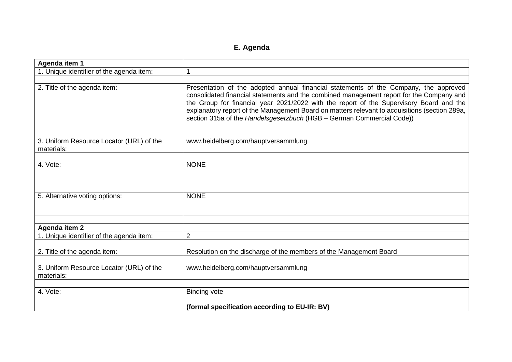# **E. Agenda**

| Agenda item 1                                          |                                                                                                                                                                                                                                                                                                                                                                                                                                                       |
|--------------------------------------------------------|-------------------------------------------------------------------------------------------------------------------------------------------------------------------------------------------------------------------------------------------------------------------------------------------------------------------------------------------------------------------------------------------------------------------------------------------------------|
| 1. Unique identifier of the agenda item:               | 1                                                                                                                                                                                                                                                                                                                                                                                                                                                     |
|                                                        |                                                                                                                                                                                                                                                                                                                                                                                                                                                       |
| 2. Title of the agenda item:                           | Presentation of the adopted annual financial statements of the Company, the approved<br>consolidated financial statements and the combined management report for the Company and<br>the Group for financial year 2021/2022 with the report of the Supervisory Board and the<br>explanatory report of the Management Board on matters relevant to acquisitions (section 289a,<br>section 315a of the Handelsgesetzbuch (HGB - German Commercial Code)) |
|                                                        |                                                                                                                                                                                                                                                                                                                                                                                                                                                       |
| 3. Uniform Resource Locator (URL) of the<br>materials: | www.heidelberg.com/hauptversammlung                                                                                                                                                                                                                                                                                                                                                                                                                   |
|                                                        |                                                                                                                                                                                                                                                                                                                                                                                                                                                       |
| 4. Vote:                                               | <b>NONE</b>                                                                                                                                                                                                                                                                                                                                                                                                                                           |
|                                                        |                                                                                                                                                                                                                                                                                                                                                                                                                                                       |
| 5. Alternative voting options:                         | <b>NONE</b>                                                                                                                                                                                                                                                                                                                                                                                                                                           |
|                                                        |                                                                                                                                                                                                                                                                                                                                                                                                                                                       |
| <b>Agenda item 2</b>                                   |                                                                                                                                                                                                                                                                                                                                                                                                                                                       |
| 1. Unique identifier of the agenda item:               | $\overline{2}$                                                                                                                                                                                                                                                                                                                                                                                                                                        |
|                                                        |                                                                                                                                                                                                                                                                                                                                                                                                                                                       |
| 2. Title of the agenda item:                           | Resolution on the discharge of the members of the Management Board                                                                                                                                                                                                                                                                                                                                                                                    |
|                                                        |                                                                                                                                                                                                                                                                                                                                                                                                                                                       |
| 3. Uniform Resource Locator (URL) of the<br>materials: | www.heidelberg.com/hauptversammlung                                                                                                                                                                                                                                                                                                                                                                                                                   |
|                                                        |                                                                                                                                                                                                                                                                                                                                                                                                                                                       |
| 4. Vote:                                               | <b>Binding vote</b>                                                                                                                                                                                                                                                                                                                                                                                                                                   |
|                                                        | (formal specification according to EU-IR: BV)                                                                                                                                                                                                                                                                                                                                                                                                         |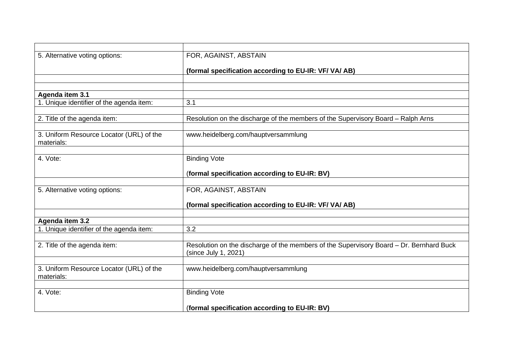| 5. Alternative voting options:                         | FOR, AGAINST, ABSTAIN                                                                                           |
|--------------------------------------------------------|-----------------------------------------------------------------------------------------------------------------|
|                                                        | (formal specification according to EU-IR: VF/ VA/ AB)                                                           |
|                                                        |                                                                                                                 |
|                                                        |                                                                                                                 |
| Agenda item 3.1                                        |                                                                                                                 |
| 1. Unique identifier of the agenda item:               | 3.1                                                                                                             |
| 2. Title of the agenda item:                           | Resolution on the discharge of the members of the Supervisory Board - Ralph Arns                                |
|                                                        |                                                                                                                 |
| 3. Uniform Resource Locator (URL) of the<br>materials: | www.heidelberg.com/hauptversammlung                                                                             |
|                                                        |                                                                                                                 |
| 4. Vote:                                               | <b>Binding Vote</b>                                                                                             |
|                                                        | (formal specification according to EU-IR: BV)                                                                   |
|                                                        |                                                                                                                 |
| 5. Alternative voting options:                         | FOR, AGAINST, ABSTAIN                                                                                           |
|                                                        | (formal specification according to EU-IR: VF/ VA/ AB)                                                           |
|                                                        |                                                                                                                 |
| Agenda item 3.2                                        |                                                                                                                 |
| 1. Unique identifier of the agenda item:               | 3.2                                                                                                             |
| 2. Title of the agenda item:                           | Resolution on the discharge of the members of the Supervisory Board - Dr. Bernhard Buck<br>(since July 1, 2021) |
|                                                        |                                                                                                                 |
| 3. Uniform Resource Locator (URL) of the<br>materials: | www.heidelberg.com/hauptversammlung                                                                             |
|                                                        |                                                                                                                 |
| 4. Vote:                                               | <b>Binding Vote</b>                                                                                             |
|                                                        | (formal specification according to EU-IR: BV)                                                                   |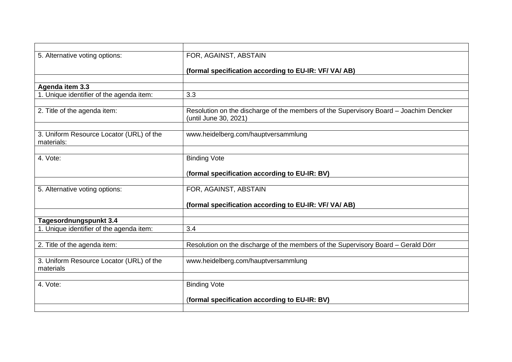| 5. Alternative voting options:                         | FOR, AGAINST, ABSTAIN                                                                                          |
|--------------------------------------------------------|----------------------------------------------------------------------------------------------------------------|
|                                                        | (formal specification according to EU-IR: VF/ VA/ AB)                                                          |
|                                                        |                                                                                                                |
| Agenda item 3.3                                        |                                                                                                                |
| 1. Unique identifier of the agenda item:               | 3.3                                                                                                            |
|                                                        |                                                                                                                |
| 2. Title of the agenda item:                           | Resolution on the discharge of the members of the Supervisory Board - Joachim Dencker<br>(until June 30, 2021) |
|                                                        |                                                                                                                |
| 3. Uniform Resource Locator (URL) of the<br>materials: | www.heidelberg.com/hauptversammlung                                                                            |
|                                                        |                                                                                                                |
| 4. Vote:                                               | <b>Binding Vote</b>                                                                                            |
|                                                        |                                                                                                                |
|                                                        | (formal specification according to EU-IR: BV)                                                                  |
| 5. Alternative voting options:                         | FOR, AGAINST, ABSTAIN                                                                                          |
|                                                        |                                                                                                                |
|                                                        | (formal specification according to EU-IR: VF/ VA/ AB)                                                          |
|                                                        |                                                                                                                |
| Tagesordnungspunkt 3.4                                 |                                                                                                                |
| 1. Unique identifier of the agenda item:               | 3.4                                                                                                            |
|                                                        |                                                                                                                |
| 2. Title of the agenda item:                           | Resolution on the discharge of the members of the Supervisory Board - Gerald Dörr                              |
|                                                        |                                                                                                                |
| 3. Uniform Resource Locator (URL) of the               | www.heidelberg.com/hauptversammlung                                                                            |
| materials                                              |                                                                                                                |
| 4. Vote:                                               | <b>Binding Vote</b>                                                                                            |
|                                                        |                                                                                                                |
|                                                        | (formal specification according to EU-IR: BV)                                                                  |
|                                                        |                                                                                                                |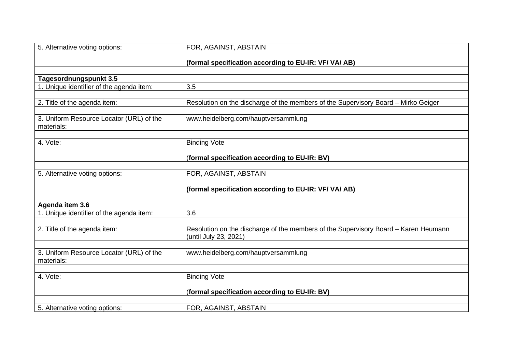| 5. Alternative voting options:                         | FOR, AGAINST, ABSTAIN                                                                                        |
|--------------------------------------------------------|--------------------------------------------------------------------------------------------------------------|
|                                                        | (formal specification according to EU-IR: VF/ VA/ AB)                                                        |
|                                                        |                                                                                                              |
| Tagesordnungspunkt 3.5                                 |                                                                                                              |
| 1. Unique identifier of the agenda item:               | 3.5                                                                                                          |
|                                                        |                                                                                                              |
| 2. Title of the agenda item:                           | Resolution on the discharge of the members of the Supervisory Board - Mirko Geiger                           |
| 3. Uniform Resource Locator (URL) of the<br>materials: | www.heidelberg.com/hauptversammlung                                                                          |
|                                                        |                                                                                                              |
| 4. Vote:                                               | <b>Binding Vote</b>                                                                                          |
|                                                        | (formal specification according to EU-IR: BV)                                                                |
|                                                        |                                                                                                              |
| 5. Alternative voting options:                         | FOR, AGAINST, ABSTAIN                                                                                        |
|                                                        | (formal specification according to EU-IR: VF/ VA/ AB)                                                        |
|                                                        |                                                                                                              |
| Agenda item 3.6                                        |                                                                                                              |
| 1. Unique identifier of the agenda item:               | 3.6                                                                                                          |
| 2. Title of the agenda item:                           | Resolution on the discharge of the members of the Supervisory Board - Karen Heumann<br>(until July 23, 2021) |
|                                                        |                                                                                                              |
| 3. Uniform Resource Locator (URL) of the<br>materials: | www.heidelberg.com/hauptversammlung                                                                          |
|                                                        |                                                                                                              |
| 4. Vote:                                               | <b>Binding Vote</b>                                                                                          |
|                                                        | (formal specification according to EU-IR: BV)                                                                |
|                                                        |                                                                                                              |
| 5. Alternative voting options:                         | FOR, AGAINST, ABSTAIN                                                                                        |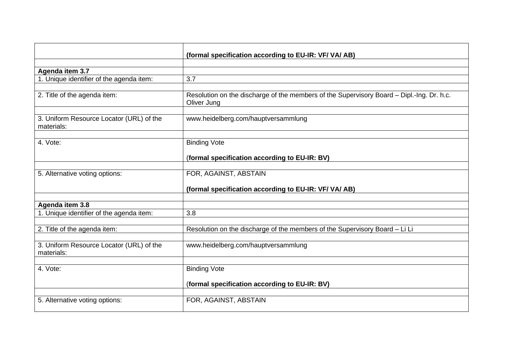|                                                        | (formal specification according to EU-IR: VF/ VA/ AB)                                                    |
|--------------------------------------------------------|----------------------------------------------------------------------------------------------------------|
|                                                        |                                                                                                          |
| Agenda item 3.7                                        |                                                                                                          |
| 1. Unique identifier of the agenda item:               | 3.7                                                                                                      |
|                                                        |                                                                                                          |
| 2. Title of the agenda item:                           | Resolution on the discharge of the members of the Supervisory Board - Dipl.-Ing. Dr. h.c.<br>Oliver Jung |
|                                                        |                                                                                                          |
| 3. Uniform Resource Locator (URL) of the<br>materials: | www.heidelberg.com/hauptversammlung                                                                      |
|                                                        |                                                                                                          |
| 4. Vote:                                               | <b>Binding Vote</b>                                                                                      |
|                                                        | (formal specification according to EU-IR: BV)                                                            |
|                                                        |                                                                                                          |
| 5. Alternative voting options:                         | FOR, AGAINST, ABSTAIN                                                                                    |
|                                                        | (formal specification according to EU-IR: VF/ VA/ AB)                                                    |
|                                                        |                                                                                                          |
| Agenda item 3.8                                        |                                                                                                          |
| 1. Unique identifier of the agenda item:               | 3.8                                                                                                      |
|                                                        |                                                                                                          |
| 2. Title of the agenda item:                           | Resolution on the discharge of the members of the Supervisory Board - Li Li                              |
| 3. Uniform Resource Locator (URL) of the<br>materials: | www.heidelberg.com/hauptversammlung                                                                      |
|                                                        |                                                                                                          |
| 4. Vote:                                               | <b>Binding Vote</b>                                                                                      |
|                                                        | (formal specification according to EU-IR: BV)                                                            |
|                                                        |                                                                                                          |
| 5. Alternative voting options:                         | FOR, AGAINST, ABSTAIN                                                                                    |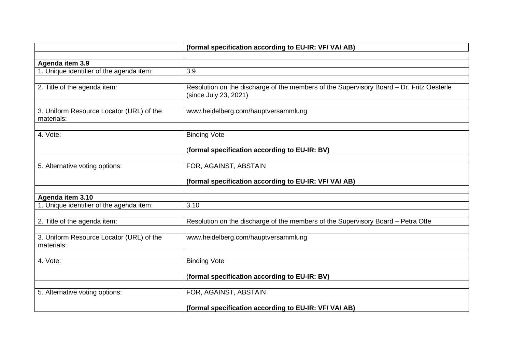|                                                        | (formal specification according to EU-IR: VF/ VA/ AB)                                                             |
|--------------------------------------------------------|-------------------------------------------------------------------------------------------------------------------|
|                                                        |                                                                                                                   |
| Agenda item 3.9                                        |                                                                                                                   |
| 1. Unique identifier of the agenda item:               | 3.9                                                                                                               |
|                                                        |                                                                                                                   |
| 2. Title of the agenda item:                           | Resolution on the discharge of the members of the Supervisory Board - Dr. Fritz Oesterle<br>(since July 23, 2021) |
|                                                        |                                                                                                                   |
| 3. Uniform Resource Locator (URL) of the<br>materials: | www.heidelberg.com/hauptversammlung                                                                               |
|                                                        |                                                                                                                   |
| 4. Vote:                                               | <b>Binding Vote</b>                                                                                               |
|                                                        |                                                                                                                   |
|                                                        | (formal specification according to EU-IR: BV)                                                                     |
|                                                        |                                                                                                                   |
| 5. Alternative voting options:                         | FOR, AGAINST, ABSTAIN                                                                                             |
|                                                        | (formal specification according to EU-IR: VF/ VA/ AB)                                                             |
|                                                        |                                                                                                                   |
| Agenda item 3.10                                       |                                                                                                                   |
| 1. Unique identifier of the agenda item:               | 3.10                                                                                                              |
|                                                        |                                                                                                                   |
| 2. Title of the agenda item:                           | Resolution on the discharge of the members of the Supervisory Board - Petra Otte                                  |
|                                                        |                                                                                                                   |
| 3. Uniform Resource Locator (URL) of the<br>materials: | www.heidelberg.com/hauptversammlung                                                                               |
|                                                        |                                                                                                                   |
| 4. Vote:                                               | <b>Binding Vote</b>                                                                                               |
|                                                        |                                                                                                                   |
|                                                        | (formal specification according to EU-IR: BV)                                                                     |
|                                                        |                                                                                                                   |
| 5. Alternative voting options:                         | FOR, AGAINST, ABSTAIN                                                                                             |
|                                                        | (formal specification according to EU-IR: VF/ VA/ AB)                                                             |
|                                                        |                                                                                                                   |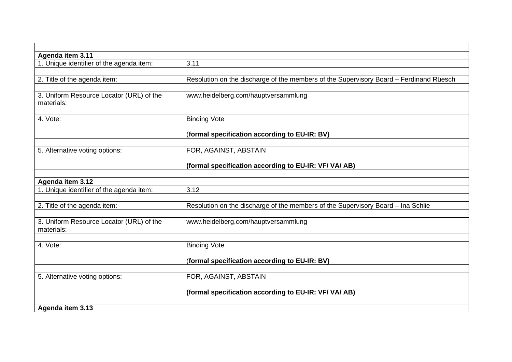| Agenda item 3.11                         |                                                                                        |
|------------------------------------------|----------------------------------------------------------------------------------------|
| 1. Unique identifier of the agenda item: | 3.11                                                                                   |
|                                          |                                                                                        |
| 2. Title of the agenda item:             | Resolution on the discharge of the members of the Supervisory Board - Ferdinand Rüesch |
|                                          |                                                                                        |
| 3. Uniform Resource Locator (URL) of the | www.heidelberg.com/hauptversammlung                                                    |
| materials:                               |                                                                                        |
|                                          |                                                                                        |
| 4. Vote:                                 | <b>Binding Vote</b>                                                                    |
|                                          |                                                                                        |
|                                          | (formal specification according to EU-IR: BV)                                          |
|                                          |                                                                                        |
| 5. Alternative voting options:           | FOR, AGAINST, ABSTAIN                                                                  |
|                                          |                                                                                        |
|                                          | (formal specification according to EU-IR: VF/ VA/ AB)                                  |
|                                          |                                                                                        |
| Agenda item 3.12                         | 3.12                                                                                   |
| 1. Unique identifier of the agenda item: |                                                                                        |
| 2. Title of the agenda item:             | Resolution on the discharge of the members of the Supervisory Board - Ina Schlie       |
|                                          |                                                                                        |
| 3. Uniform Resource Locator (URL) of the | www.heidelberg.com/hauptversammlung                                                    |
| materials:                               |                                                                                        |
|                                          |                                                                                        |
| 4. Vote:                                 | <b>Binding Vote</b>                                                                    |
|                                          |                                                                                        |
|                                          | (formal specification according to EU-IR: BV)                                          |
|                                          |                                                                                        |
| 5. Alternative voting options:           | FOR, AGAINST, ABSTAIN                                                                  |
|                                          |                                                                                        |
|                                          | (formal specification according to EU-IR: VF/ VA/ AB)                                  |
|                                          |                                                                                        |
| Agenda item 3.13                         |                                                                                        |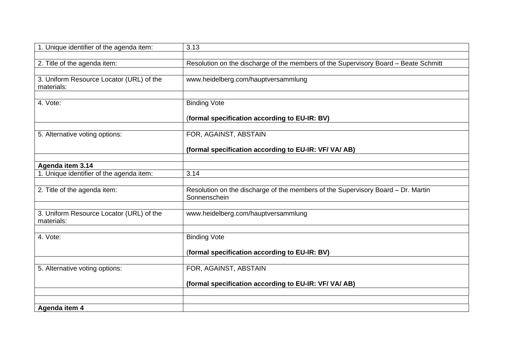| 1. Unique identifier of the agenda item:               | 3.13                                                                                             |
|--------------------------------------------------------|--------------------------------------------------------------------------------------------------|
| 2. Title of the agenda item:                           | Resolution on the discharge of the members of the Supervisory Board - Beate Schmitt              |
| 3. Uniform Resource Locator (URL) of the<br>materials: | www.heidelberg.com/hauptversammlung                                                              |
| 4. Vote:                                               | <b>Binding Vote</b>                                                                              |
|                                                        | (formal specification according to EU-IR: BV)                                                    |
| 5. Alternative voting options:                         | FOR, AGAINST, ABSTAIN                                                                            |
|                                                        | (formal specification according to EU-IR: VF/ VA/ AB)                                            |
| Agenda item 3.14                                       |                                                                                                  |
| 1. Unique identifier of the agenda item:               | 3.14                                                                                             |
| 2. Title of the agenda item:                           | Resolution on the discharge of the members of the Supervisory Board - Dr. Martin<br>Sonnenschein |
| 3. Uniform Resource Locator (URL) of the               | www.heidelberg.com/hauptversammlung                                                              |
| materials:                                             |                                                                                                  |
| 4. Vote:                                               | <b>Binding Vote</b>                                                                              |
|                                                        | (formal specification according to EU-IR: BV)                                                    |
|                                                        |                                                                                                  |
| 5. Alternative voting options:                         | FOR, AGAINST, ABSTAIN                                                                            |
|                                                        | (formal specification according to EU-IR: VF/ VA/ AB)                                            |
|                                                        |                                                                                                  |
| Agenda item 4                                          |                                                                                                  |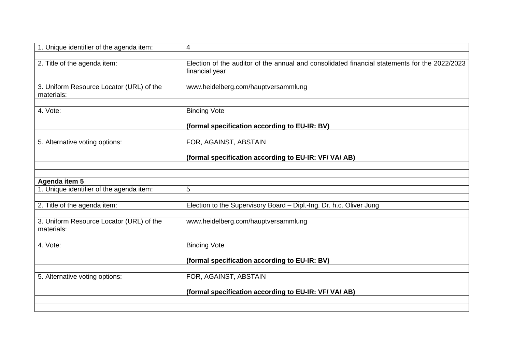| 1. Unique identifier of the agenda item:               | $\overline{4}$                                                                                                  |
|--------------------------------------------------------|-----------------------------------------------------------------------------------------------------------------|
| 2. Title of the agenda item:                           | Election of the auditor of the annual and consolidated financial statements for the 2022/2023<br>financial year |
| 3. Uniform Resource Locator (URL) of the<br>materials: | www.heidelberg.com/hauptversammlung                                                                             |
| 4. Vote:                                               | <b>Binding Vote</b>                                                                                             |
|                                                        | (formal specification according to EU-IR: BV)                                                                   |
| 5. Alternative voting options:                         | FOR, AGAINST, ABSTAIN                                                                                           |
|                                                        | (formal specification according to EU-IR: VF/ VA/ AB)                                                           |
|                                                        |                                                                                                                 |
| Agenda item 5                                          |                                                                                                                 |
| 1. Unique identifier of the agenda item:               | 5                                                                                                               |
| 2. Title of the agenda item:                           | Election to the Supervisory Board - Dipl.-Ing. Dr. h.c. Oliver Jung                                             |
| 3. Uniform Resource Locator (URL) of the<br>materials: | www.heidelberg.com/hauptversammlung                                                                             |
| 4. Vote:                                               | <b>Binding Vote</b>                                                                                             |
|                                                        | (formal specification according to EU-IR: BV)                                                                   |
|                                                        |                                                                                                                 |
| 5. Alternative voting options:                         | FOR, AGAINST, ABSTAIN                                                                                           |
|                                                        | (formal specification according to EU-IR: VF/ VA/ AB)                                                           |
|                                                        |                                                                                                                 |
|                                                        |                                                                                                                 |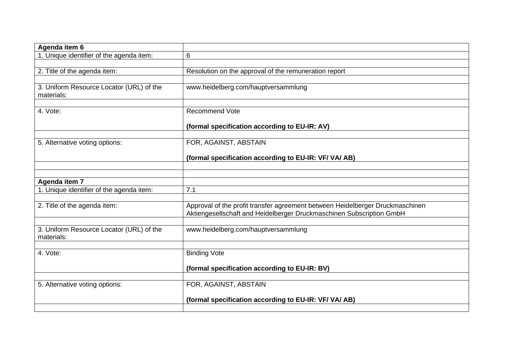| Agenda item 6                                          |                                                                                                                                                       |
|--------------------------------------------------------|-------------------------------------------------------------------------------------------------------------------------------------------------------|
| 1. Unique identifier of the agenda item:               | 6                                                                                                                                                     |
|                                                        |                                                                                                                                                       |
| 2. Title of the agenda item:                           | Resolution on the approval of the remuneration report                                                                                                 |
|                                                        |                                                                                                                                                       |
| 3. Uniform Resource Locator (URL) of the<br>materials: | www.heidelberg.com/hauptversammlung                                                                                                                   |
|                                                        |                                                                                                                                                       |
| 4. Vote:                                               | <b>Recommend Vote</b>                                                                                                                                 |
|                                                        | (formal specification according to EU-IR: AV)                                                                                                         |
|                                                        |                                                                                                                                                       |
| 5. Alternative voting options:                         | FOR, AGAINST, ABSTAIN                                                                                                                                 |
|                                                        | (formal specification according to EU-IR: VF/ VA/ AB)                                                                                                 |
|                                                        |                                                                                                                                                       |
|                                                        |                                                                                                                                                       |
| Agenda item 7                                          |                                                                                                                                                       |
| 1. Unique identifier of the agenda item:               | 7.1                                                                                                                                                   |
|                                                        |                                                                                                                                                       |
| 2. Title of the agenda item:                           | Approval of the profit transfer agreement between Heidelberger Druckmaschinen<br>Aktiengesellschaft and Heidelberger Druckmaschinen Subscription GmbH |
|                                                        |                                                                                                                                                       |
| 3. Uniform Resource Locator (URL) of the<br>materials: | www.heidelberg.com/hauptversammlung                                                                                                                   |
|                                                        |                                                                                                                                                       |
| 4. Vote:                                               | <b>Binding Vote</b>                                                                                                                                   |
|                                                        |                                                                                                                                                       |
|                                                        | (formal specification according to EU-IR: BV)                                                                                                         |
|                                                        |                                                                                                                                                       |
| 5. Alternative voting options:                         | FOR, AGAINST, ABSTAIN                                                                                                                                 |
|                                                        | (formal specification according to EU-IR: VF/ VA/ AB)                                                                                                 |
|                                                        |                                                                                                                                                       |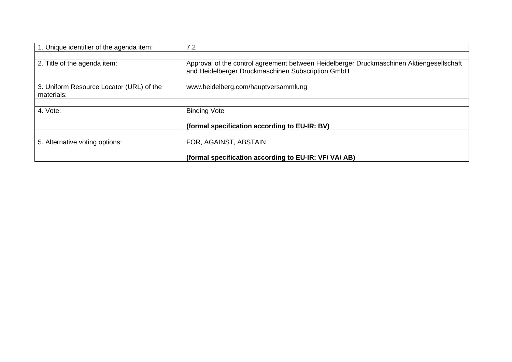| 1. Unique identifier of the agenda item:               | 7.2                                                                                                                                           |
|--------------------------------------------------------|-----------------------------------------------------------------------------------------------------------------------------------------------|
|                                                        |                                                                                                                                               |
| 2. Title of the agenda item:                           | Approval of the control agreement between Heidelberger Druckmaschinen Aktiengesellschaft<br>and Heidelberger Druckmaschinen Subscription GmbH |
|                                                        |                                                                                                                                               |
| 3. Uniform Resource Locator (URL) of the<br>materials: | www.heidelberg.com/hauptversammlung                                                                                                           |
|                                                        |                                                                                                                                               |
| 4. Vote:                                               | <b>Binding Vote</b>                                                                                                                           |
|                                                        | (formal specification according to EU-IR: BV)                                                                                                 |
|                                                        |                                                                                                                                               |
| 5. Alternative voting options:                         | FOR, AGAINST, ABSTAIN                                                                                                                         |
|                                                        | (formal specification according to EU-IR: VF/ VA/ AB)                                                                                         |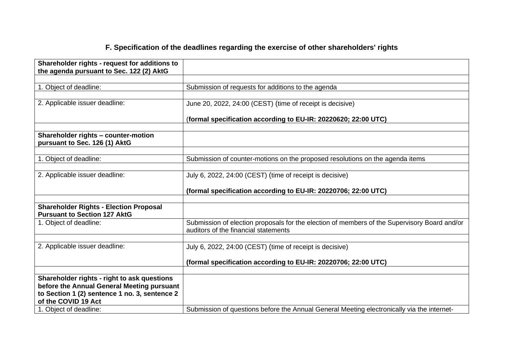# **F. Specification of the deadlines regarding the exercise of other shareholders' rights**

| Shareholder rights - request for additions to<br>the agenda pursuant to Sec. 122 (2) AktG |                                                                                                                                      |
|-------------------------------------------------------------------------------------------|--------------------------------------------------------------------------------------------------------------------------------------|
|                                                                                           |                                                                                                                                      |
| 1. Object of deadline:                                                                    | Submission of requests for additions to the agenda                                                                                   |
|                                                                                           |                                                                                                                                      |
| 2. Applicable issuer deadline:                                                            | June 20, 2022, 24:00 (CEST) (time of receipt is decisive)                                                                            |
|                                                                                           | (formal specification according to EU-IR: 20220620; 22:00 UTC)                                                                       |
|                                                                                           |                                                                                                                                      |
| Shareholder rights - counter-motion<br>pursuant to Sec. 126 (1) AktG                      |                                                                                                                                      |
|                                                                                           |                                                                                                                                      |
| 1. Object of deadline:                                                                    | Submission of counter-motions on the proposed resolutions on the agenda items                                                        |
|                                                                                           |                                                                                                                                      |
| 2. Applicable issuer deadline:                                                            | July 6, 2022, 24:00 (CEST) (time of receipt is decisive)                                                                             |
|                                                                                           | (formal specification according to EU-IR: 20220706; 22:00 UTC)                                                                       |
|                                                                                           |                                                                                                                                      |
| <b>Shareholder Rights - Election Proposal</b><br><b>Pursuant to Section 127 AktG</b>      |                                                                                                                                      |
| 1. Object of deadline:                                                                    | Submission of election proposals for the election of members of the Supervisory Board and/or<br>auditors of the financial statements |
|                                                                                           |                                                                                                                                      |
| 2. Applicable issuer deadline:                                                            | July 6, 2022, 24:00 (CEST) (time of receipt is decisive)                                                                             |
|                                                                                           | (formal specification according to EU-IR: 20220706; 22:00 UTC)                                                                       |
|                                                                                           |                                                                                                                                      |
| Shareholder rights - right to ask questions                                               |                                                                                                                                      |
| before the Annual General Meeting pursuant                                                |                                                                                                                                      |
| to Section 1 (2) sentence 1 no. 3, sentence 2<br>of the COVID 19 Act                      |                                                                                                                                      |
| 1. Object of deadline:                                                                    | Submission of questions before the Annual General Meeting electronically via the internet-                                           |